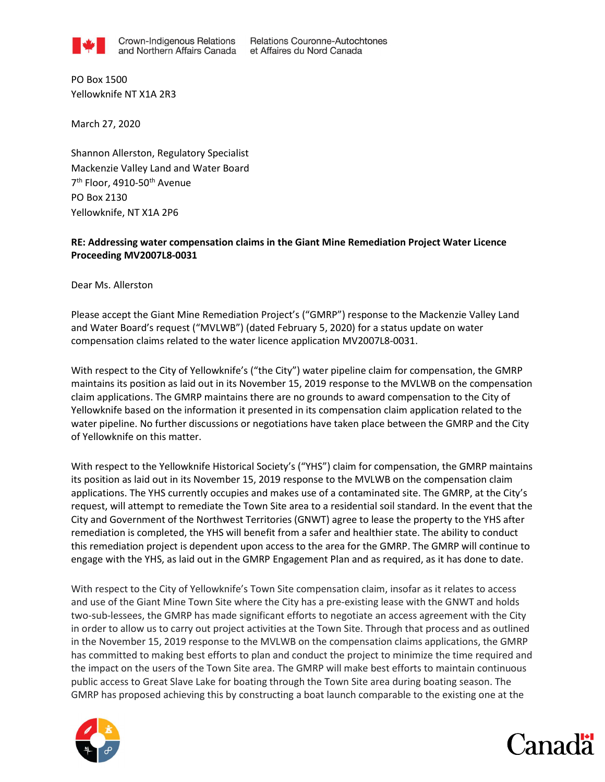

**Relations Couronne-Autochtones** et Affaires du Nord Canada

PO Box 1500 Yellowknife NT X1A 2R3

March 27, 2020

Shannon Allerston, Regulatory Specialist Mackenzie Valley Land and Water Board 7<sup>th</sup> Floor, 4910-50<sup>th</sup> Avenue PO Box 2130 Yellowknife, NT X1A 2P6

## RE: Addressing water compensation claims in the Giant Mine Remediation Project Water Licence Proceeding MV2007L8-0031

Dear Ms. Allerston

Please accept the Giant Mine Remediation Project's ("GMRP") response to the Mackenzie Valley Land and Water Board's request ("MVLWB") (dated February 5, 2020) for a status update on water compensation claims related to the water licence application MV2007L8-0031.

With respect to the City of Yellowknife's ("the City") water pipeline claim for compensation, the GMRP maintains its position as laid out in its November 15, 2019 response to the MVLWB on the compensation claim applications. The GMRP maintains there are no grounds to award compensation to the City of Yellowknife based on the information it presented in its compensation claim application related to the water pipeline. No further discussions or negotiations have taken place between the GMRP and the City of Yellowknife on this matter.

With respect to the Yellowknife Historical Society's ("YHS") claim for compensation, the GMRP maintains its position as laid out in its November 15, 2019 response to the MVLWB on the compensation claim applications. The YHS currently occupies and makes use of a contaminated site. The GMRP, at the City's request, will attempt to remediate the Town Site area to a residential soil standard. In the event that the City and Government of the Northwest Territories (GNWT) agree to lease the property to the YHS after remediation is completed, the YHS will benefit from a safer and healthier state. The ability to conduct this remediation project is dependent upon access to the area for the GMRP. The GMRP will continue to engage with the YHS, as laid out in the GMRP Engagement Plan and as required, as it has done to date.

With respect to the City of Yellowknife's Town Site compensation claim, insofar as it relates to access and use of the Giant Mine Town Site where the City has a pre-existing lease with the GNWT and holds two-sub-lessees, the GMRP has made significant efforts to negotiate an access agreement with the City in order to allow us to carry out project activities at the Town Site. Through that process and as outlined in the November 15, 2019 response to the MVLWB on the compensation claims applications, the GMRP has committed to making best efforts to plan and conduct the project to minimize the time required and the impact on the users of the Town Site area. The GMRP will make best efforts to maintain continuous public access to Great Slave Lake for boating through the Town Site area during boating season. The GMRP has proposed achieving this by constructing a boat launch comparable to the existing one at the



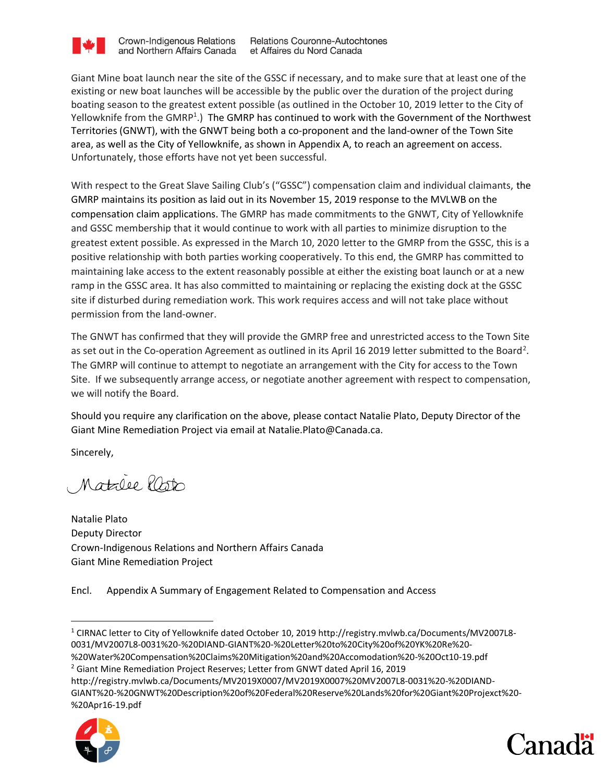

**Crown-Indigenous Relations** and Northern Affairs Canada

**Relations Couronne-Autochtones** et Affaires du Nord Canada

Giant Mine boat launch near the site of the GSSC if necessary, and to make sure that at least one of the existing or new boat launches will be accessible by the public over the duration of the project during boating season to the greatest extent possible (as outlined in the October 10, 2019 letter to the City of Yellowknife from the GMRP<sup>1</sup>.) The GMRP has continued to work with the Government of the Northwest Territories (GNWT), with the GNWT being both a co-proponent and the land-owner of the Town Site area, as well as the City of Yellowknife, as shown in Appendix A, to reach an agreement on access. Unfortunately, those efforts have not yet been successful.

With respect to the Great Slave Sailing Club's ("GSSC") compensation claim and individual claimants, the GMRP maintains its position as laid out in its November 15, 2019 response to the MVLWB on the compensation claim applications. The GMRP has made commitments to the GNWT, City of Yellowknife and GSSC membership that it would continue to work with all parties to minimize disruption to the greatest extent possible. As expressed in the March 10, 2020 letter to the GMRP from the GSSC, this is a positive relationship with both parties working cooperatively. To this end, the GMRP has committed to maintaining lake access to the extent reasonably possible at either the existing boat launch or at a new ramp in the GSSC area. It has also committed to maintaining or replacing the existing dock at the GSSC site if disturbed during remediation work. This work requires access and will not take place without permission from the land-owner.

The GNWT has confirmed that they will provide the GMRP free and unrestricted access to the Town Site as set out in the Co-operation Agreement as outlined in its April 16 2019 letter submitted to the Board<sup>2</sup>. The GMRP will continue to attempt to negotiate an arrangement with the City for access to the Town Site. If we subsequently arrange access, or negotiate another agreement with respect to compensation, we will notify the Board.

Should you require any clarification on the above, please contact Natalie Plato, Deputy Director of the Giant Mine Remediation Project via email at Natalie.Plato@Canada.ca.

Sincerely,

Matalee lasto

Natalie Plato Deputy Director Crown-Indigenous Relations and Northern Affairs Canada Giant Mine Remediation Project

Encl. Appendix A Summary of Engagement Related to Compensation and Access

http://registry.mvlwb.ca/Documents/MV2019X0007/MV2019X0007%20MV2007L8-0031%20-%20DIAND-GIANT%20-%20GNWT%20Description%20of%20Federal%20Reserve%20Lands%20for%20Giant%20Projexct%20- %20Apr16-19.pdf





<sup>1</sup> CIRNAC letter to City of Yellowknife dated October 10, 2019 http://registry.mvlwb.ca/Documents/MV2007L8- 0031/MV2007L8-0031%20-%20DIAND-GIANT%20-%20Letter%20to%20City%20of%20YK%20Re%20- %20Water%20Compensation%20Claims%20Mitigation%20and%20Accomodation%20-%20Oct10-19.pdf

<sup>&</sup>lt;sup>2</sup> Giant Mine Remediation Project Reserves; Letter from GNWT dated April 16, 2019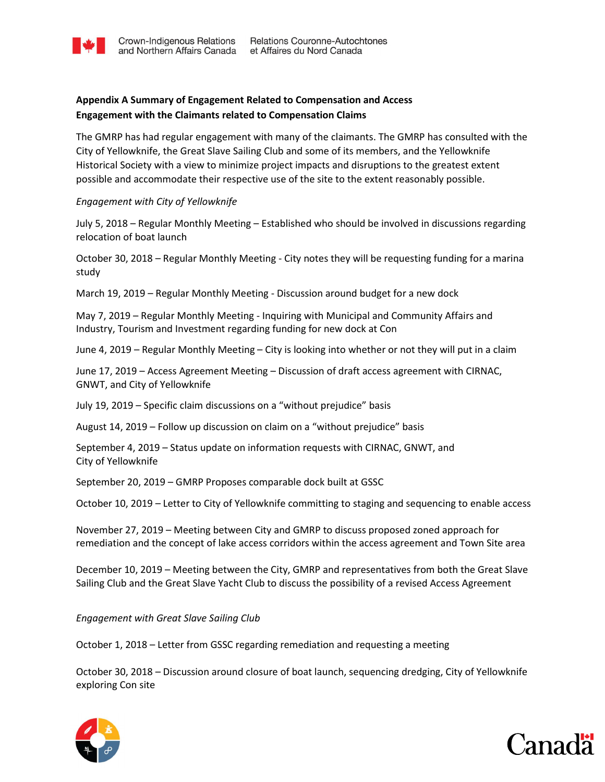## Appendix A Summary of Engagement Related to Compensation and Access Engagement with the Claimants related to Compensation Claims

The GMRP has had regular engagement with many of the claimants. The GMRP has consulted with the City of Yellowknife, the Great Slave Sailing Club and some of its members, and the Yellowknife Historical Society with a view to minimize project impacts and disruptions to the greatest extent possible and accommodate their respective use of the site to the extent reasonably possible.

## Engagement with City of Yellowknife

July 5, 2018 – Regular Monthly Meeting – Established who should be involved in discussions regarding relocation of boat launch

October 30, 2018 – Regular Monthly Meeting - City notes they will be requesting funding for a marina study

March 19, 2019 – Regular Monthly Meeting - Discussion around budget for a new dock

May 7, 2019 – Regular Monthly Meeting - Inquiring with Municipal and Community Affairs and Industry, Tourism and Investment regarding funding for new dock at Con

June 4, 2019 – Regular Monthly Meeting – City is looking into whether or not they will put in a claim

June 17, 2019 – Access Agreement Meeting – Discussion of draft access agreement with CIRNAC, GNWT, and City of Yellowknife

July 19, 2019 – Specific claim discussions on a "without prejudice" basis

August 14, 2019 – Follow up discussion on claim on a "without prejudice" basis

September 4, 2019 – Status update on information requests with CIRNAC, GNWT, and City of Yellowknife

September 20, 2019 – GMRP Proposes comparable dock built at GSSC

October 10, 2019 – Letter to City of Yellowknife committing to staging and sequencing to enable access

November 27, 2019 – Meeting between City and GMRP to discuss proposed zoned approach for remediation and the concept of lake access corridors within the access agreement and Town Site area

December 10, 2019 – Meeting between the City, GMRP and representatives from both the Great Slave Sailing Club and the Great Slave Yacht Club to discuss the possibility of a revised Access Agreement

Engagement with Great Slave Sailing Club

October 1, 2018 – Letter from GSSC regarding remediation and requesting a meeting

October 30, 2018 – Discussion around closure of boat launch, sequencing dredging, City of Yellowknife exploring Con site